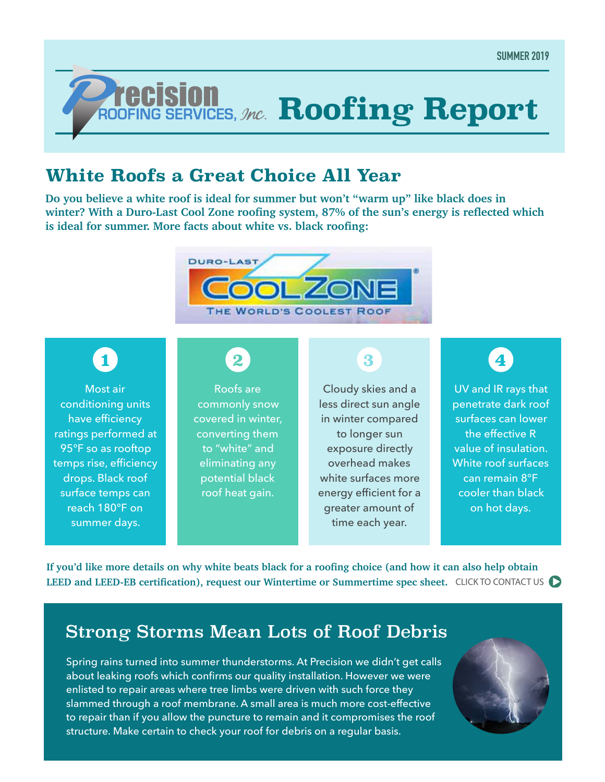# *ROOFING SERVICES, Mc.* **Roofing Report**

#### **White Roofs a Great Choice All Year**

**Do you believe a white roof is ideal for summer but won't "warm up" like black does in winter? With a Duro-Last Cool Zone roofing system, 87% of the sun's energy is reflected which is ideal for summer. More facts about white vs. black roofing:**



## **1**

Most air conditioning units have efficiency ratings performed at 95°F so as rooftop temps rise, efficiency drops. Black roof surface temps can reach 180°F on summer days.

# **2**

Roofs are commonly snow covered in winter, converting them to "white" and eliminating any potential black roof heat gain.

#### **3**

Cloudy skies and a less direct sun angle in winter compared to longer sun exposure directly overhead makes white surfaces more energy efficient for a greater amount of time each year.

## **4**

UV and IR rays that penetrate dark roof surfaces can lower the effective R value of insulation. White roof surfaces can remain 8°F cooler than black on hot days.

**If you'd like more details on why white beats black for a roofing choice (and how it can also help obtain**  LEED and LEED-EB certification), request our Wintertime or Summertime spec sheet. CLICK TO CONTACT US

#### Strong Storms Mean Lots of Roof Debris

Spring rains turned into summer thunderstorms. At Precision we didn't get calls about leaking roofs which confirms our quality installation. However we were enlisted to repair areas where tree limbs were driven with such force they slammed through a roof membrane. A small area is much more cost-effective to repair than if you allow the puncture to remain and it compromises the roof structure. Make certain to check your roof for debris on a regular basis.